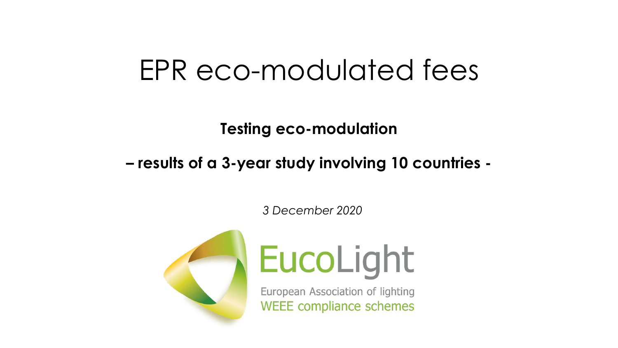## EPR eco-modulated fees

**Testing eco-modulation** 

#### **– results of a 3-year study involving 10 countries -**

*3 December 2020*



# EucoLight

European Association of lighting **WEEE compliance schemes**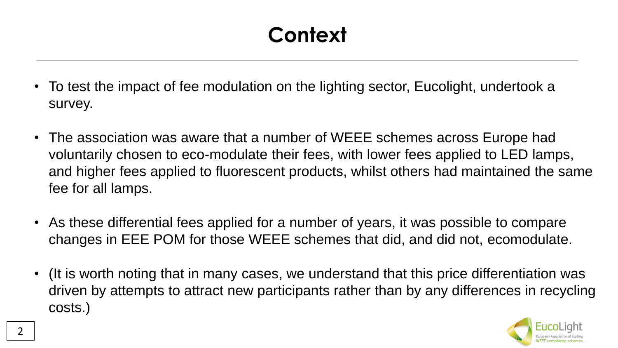#### **Context**

- To test the impact of fee modulation on the lighting sector, Eucolight, undertook a survey.
- The association was aware that a number of WEEE schemes across Europe had voluntarily chosen to eco-modulate their fees, with lower fees applied to LED lamps, and higher fees applied to fluorescent products, whilst others had maintained the same fee for all lamps.
- As these differential fees applied for a number of years, it was possible to compare changes in EEE POM for those WEEE schemes that did, and did not, ecomodulate.
- (It is worth noting that in many cases, we understand that this price differentiation was driven by attempts to attract new participants rather than by any differences in recycling costs.)

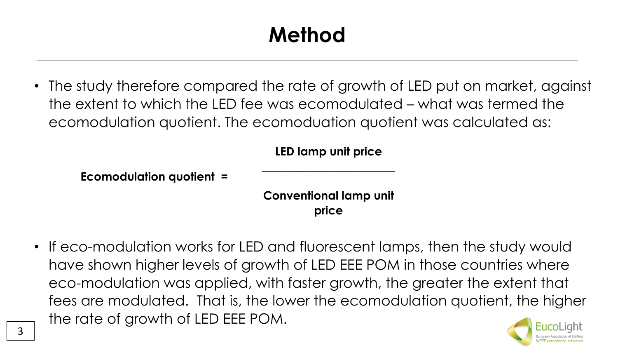### **Method**

• The study therefore compared the rate of growth of LED put on market, against the extent to which the LED fee was ecomodulated – what was termed the ecomodulation quotient. The ecomoduation quotient was calculated as:

**LED lamp unit price**

**\_\_\_\_\_\_\_\_\_\_\_\_\_\_\_\_\_\_\_\_\_\_\_**

**Ecomodulation quotient =**

**Conventional lamp unit price**

• If eco-modulation works for LED and fluorescent lamps, then the study would have shown higher levels of growth of LED EEE POM in those countries where eco-modulation was applied, with faster growth, the greater the extent that fees are modulated. That is, the lower the ecomodulation quotient, the higher the rate of growth of LED EEE POM.

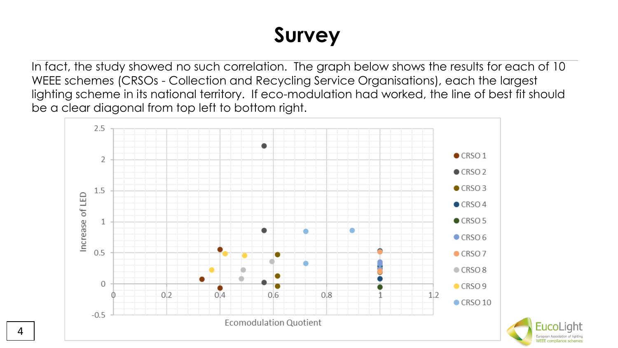#### **Survey**

In fact, the study showed no such correlation. The graph below shows the results for each of 10 WEEE schemes (CRSOs - Collection and Recycling Service Organisations), each the largest lighting scheme in its national territory. If eco-modulation had worked, the line of best fit should be a clear diagonal from top left to bottom right.



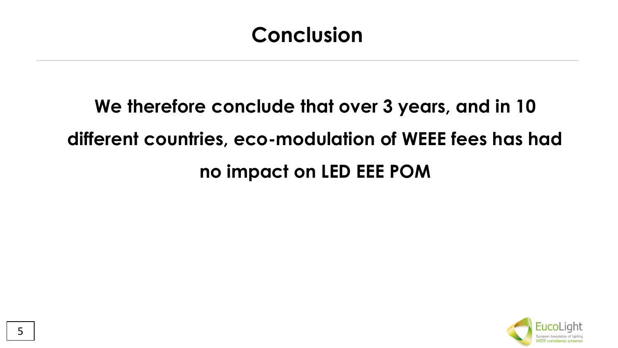#### **Conclusion**

## **We therefore conclude that over 3 years, and in 10 different countries, eco-modulation of WEEE fees has had no impact on LED EEE POM**